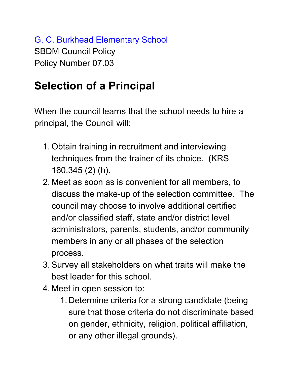G. C. Burkhead Elementary School SBDM Council Policy Policy Number 07.03

## **Selection of a Principal**

When the council learns that the school needs to hire a principal, the Council will:

- 1. Obtain training in recruitment and interviewing techniques from the trainer of its choice. (KRS 160.345 (2) (h).
- 2. Meet as soon as is convenient for all members, to discuss the make-up of the selection committee. The council may choose to involve additional certified and/or classified staff, state and/or district level administrators, parents, students, and/or community members in any or all phases of the selection process.
- 3. Survey all stakeholders on what traits will make the best leader for this school.
- 4. Meet in open session to:
	- 1. Determine criteria for a strong candidate (being sure that those criteria do not discriminate based on gender, ethnicity, religion, political affiliation, or any other illegal grounds).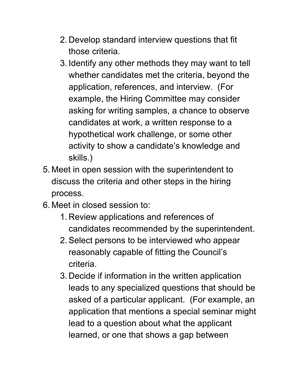- 2. Develop standard interview questions that fit those criteria.
- 3. Identify any other methods they may want to tell whether candidates met the criteria, beyond the application, references, and interview. (For example, the Hiring Committee may consider asking for writing samples, a chance to observe candidates at work, a written response to a hypothetical work challenge, or some other activity to show a candidate's knowledge and skills.)
- 5. Meet in open session with the superintendent to discuss the criteria and other steps in the hiring process.
- 6. Meet in closed session to:
	- 1. Review applications and references of candidates recommended by the superintendent.
	- 2. Select persons to be interviewed who appear reasonably capable of fitting the Council's criteria.
	- 3. Decide if information in the written application leads to any specialized questions that should be asked of a particular applicant. (For example, an application that mentions a special seminar might lead to a question about what the applicant learned, or one that shows a gap between